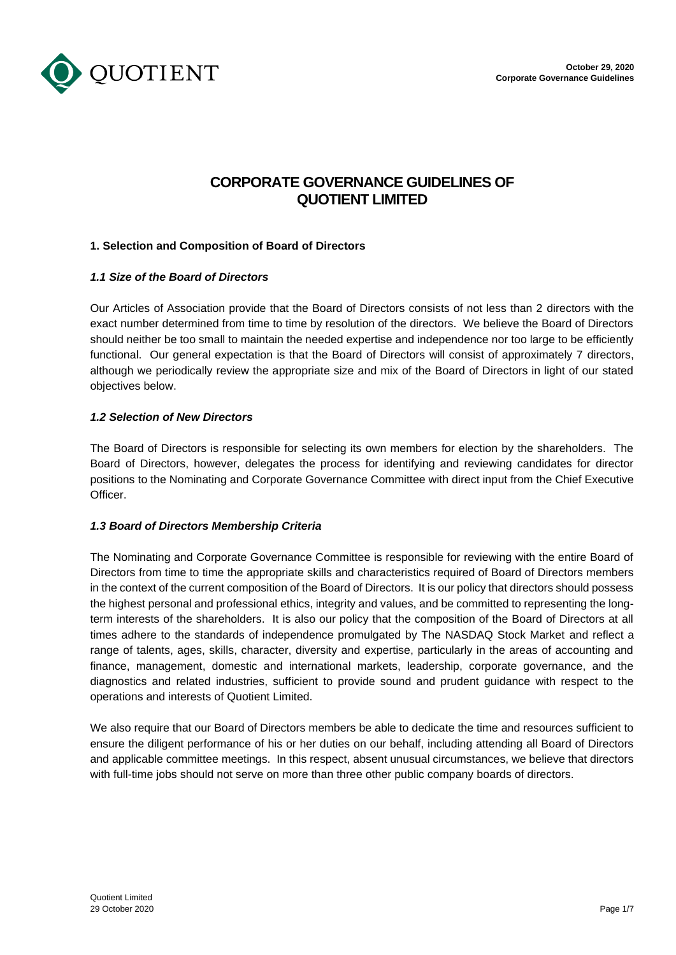



# **CORPORATE GOVERNANCE GUIDELINES OF QUOTIENT LIMITED**

# **1. Selection and Composition of Board of Directors**

# *1.1 Size of the Board of Directors*

Our Articles of Association provide that the Board of Directors consists of not less than 2 directors with the exact number determined from time to time by resolution of the directors. We believe the Board of Directors should neither be too small to maintain the needed expertise and independence nor too large to be efficiently functional. Our general expectation is that the Board of Directors will consist of approximately 7 directors, although we periodically review the appropriate size and mix of the Board of Directors in light of our stated objectives below.

# *1.2 Selection of New Directors*

The Board of Directors is responsible for selecting its own members for election by the shareholders. The Board of Directors, however, delegates the process for identifying and reviewing candidates for director positions to the Nominating and Corporate Governance Committee with direct input from the Chief Executive Officer.

# *1.3 Board of Directors Membership Criteria*

The Nominating and Corporate Governance Committee is responsible for reviewing with the entire Board of Directors from time to time the appropriate skills and characteristics required of Board of Directors members in the context of the current composition of the Board of Directors. It is our policy that directors should possess the highest personal and professional ethics, integrity and values, and be committed to representing the longterm interests of the shareholders. It is also our policy that the composition of the Board of Directors at all times adhere to the standards of independence promulgated by The NASDAQ Stock Market and reflect a range of talents, ages, skills, character, diversity and expertise, particularly in the areas of accounting and finance, management, domestic and international markets, leadership, corporate governance, and the diagnostics and related industries, sufficient to provide sound and prudent guidance with respect to the operations and interests of Quotient Limited.

We also require that our Board of Directors members be able to dedicate the time and resources sufficient to ensure the diligent performance of his or her duties on our behalf, including attending all Board of Directors and applicable committee meetings. In this respect, absent unusual circumstances, we believe that directors with full-time jobs should not serve on more than three other public company boards of directors.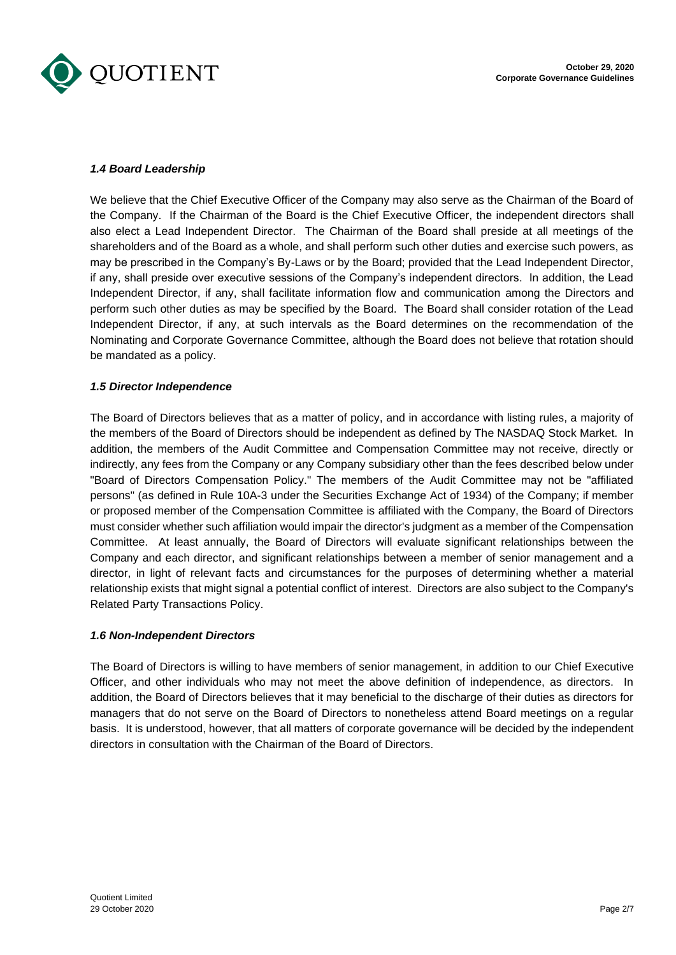

# *1.4 Board Leadership*

We believe that the Chief Executive Officer of the Company may also serve as the Chairman of the Board of the Company. If the Chairman of the Board is the Chief Executive Officer, the independent directors shall also elect a Lead Independent Director. The Chairman of the Board shall preside at all meetings of the shareholders and of the Board as a whole, and shall perform such other duties and exercise such powers, as may be prescribed in the Company's By-Laws or by the Board; provided that the Lead Independent Director, if any, shall preside over executive sessions of the Company's independent directors. In addition, the Lead Independent Director, if any, shall facilitate information flow and communication among the Directors and perform such other duties as may be specified by the Board. The Board shall consider rotation of the Lead Independent Director, if any, at such intervals as the Board determines on the recommendation of the Nominating and Corporate Governance Committee, although the Board does not believe that rotation should be mandated as a policy.

# *1.5 Director Independence*

The Board of Directors believes that as a matter of policy, and in accordance with listing rules, a majority of the members of the Board of Directors should be independent as defined by The NASDAQ Stock Market. In addition, the members of the Audit Committee and Compensation Committee may not receive, directly or indirectly, any fees from the Company or any Company subsidiary other than the fees described below under "Board of Directors Compensation Policy." The members of the Audit Committee may not be "affiliated persons" (as defined in Rule 10A-3 under the Securities Exchange Act of 1934) of the Company; if member or proposed member of the Compensation Committee is affiliated with the Company, the Board of Directors must consider whether such affiliation would impair the director's judgment as a member of the Compensation Committee. At least annually, the Board of Directors will evaluate significant relationships between the Company and each director, and significant relationships between a member of senior management and a director, in light of relevant facts and circumstances for the purposes of determining whether a material relationship exists that might signal a potential conflict of interest. Directors are also subject to the Company's Related Party Transactions Policy.

# *1.6 Non-Independent Directors*

The Board of Directors is willing to have members of senior management, in addition to our Chief Executive Officer, and other individuals who may not meet the above definition of independence, as directors. In addition, the Board of Directors believes that it may beneficial to the discharge of their duties as directors for managers that do not serve on the Board of Directors to nonetheless attend Board meetings on a regular basis. It is understood, however, that all matters of corporate governance will be decided by the independent directors in consultation with the Chairman of the Board of Directors.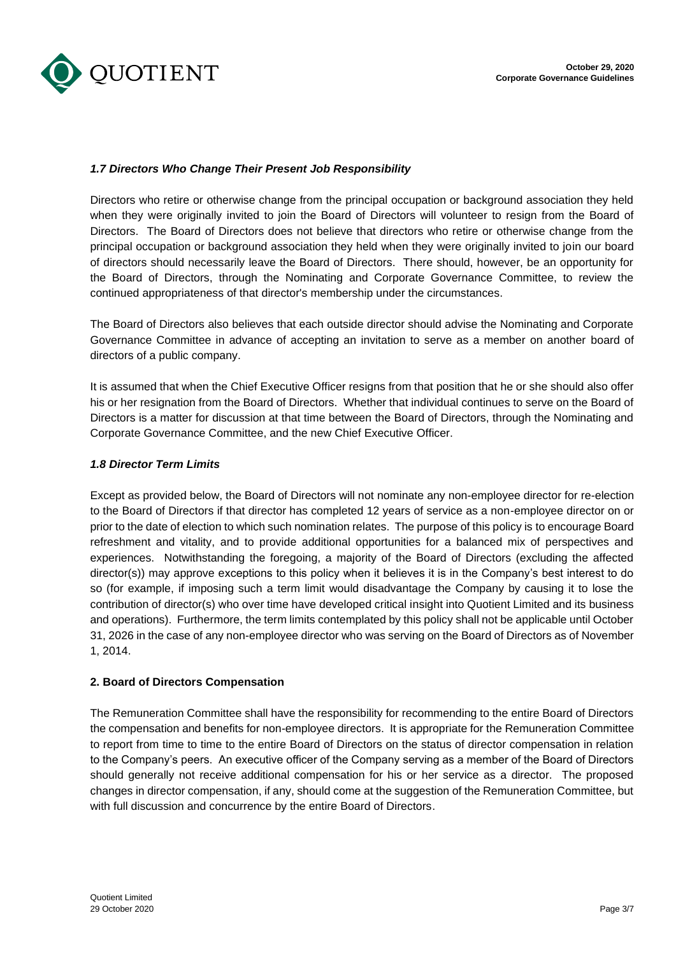

# *1.7 Directors Who Change Their Present Job Responsibility*

Directors who retire or otherwise change from the principal occupation or background association they held when they were originally invited to join the Board of Directors will volunteer to resign from the Board of Directors. The Board of Directors does not believe that directors who retire or otherwise change from the principal occupation or background association they held when they were originally invited to join our board of directors should necessarily leave the Board of Directors. There should, however, be an opportunity for the Board of Directors, through the Nominating and Corporate Governance Committee, to review the continued appropriateness of that director's membership under the circumstances.

The Board of Directors also believes that each outside director should advise the Nominating and Corporate Governance Committee in advance of accepting an invitation to serve as a member on another board of directors of a public company.

It is assumed that when the Chief Executive Officer resigns from that position that he or she should also offer his or her resignation from the Board of Directors. Whether that individual continues to serve on the Board of Directors is a matter for discussion at that time between the Board of Directors, through the Nominating and Corporate Governance Committee, and the new Chief Executive Officer.

# *1.8 Director Term Limits*

Except as provided below, the Board of Directors will not nominate any non-employee director for re-election to the Board of Directors if that director has completed 12 years of service as a non-employee director on or prior to the date of election to which such nomination relates. The purpose of this policy is to encourage Board refreshment and vitality, and to provide additional opportunities for a balanced mix of perspectives and experiences. Notwithstanding the foregoing, a majority of the Board of Directors (excluding the affected director(s)) may approve exceptions to this policy when it believes it is in the Company's best interest to do so (for example, if imposing such a term limit would disadvantage the Company by causing it to lose the contribution of director(s) who over time have developed critical insight into Quotient Limited and its business and operations). Furthermore, the term limits contemplated by this policy shall not be applicable until October 31, 2026 in the case of any non-employee director who was serving on the Board of Directors as of November 1, 2014.

# **2. Board of Directors Compensation**

The Remuneration Committee shall have the responsibility for recommending to the entire Board of Directors the compensation and benefits for non-employee directors. It is appropriate for the Remuneration Committee to report from time to time to the entire Board of Directors on the status of director compensation in relation to the Company's peers. An executive officer of the Company serving as a member of the Board of Directors should generally not receive additional compensation for his or her service as a director. The proposed changes in director compensation, if any, should come at the suggestion of the Remuneration Committee, but with full discussion and concurrence by the entire Board of Directors.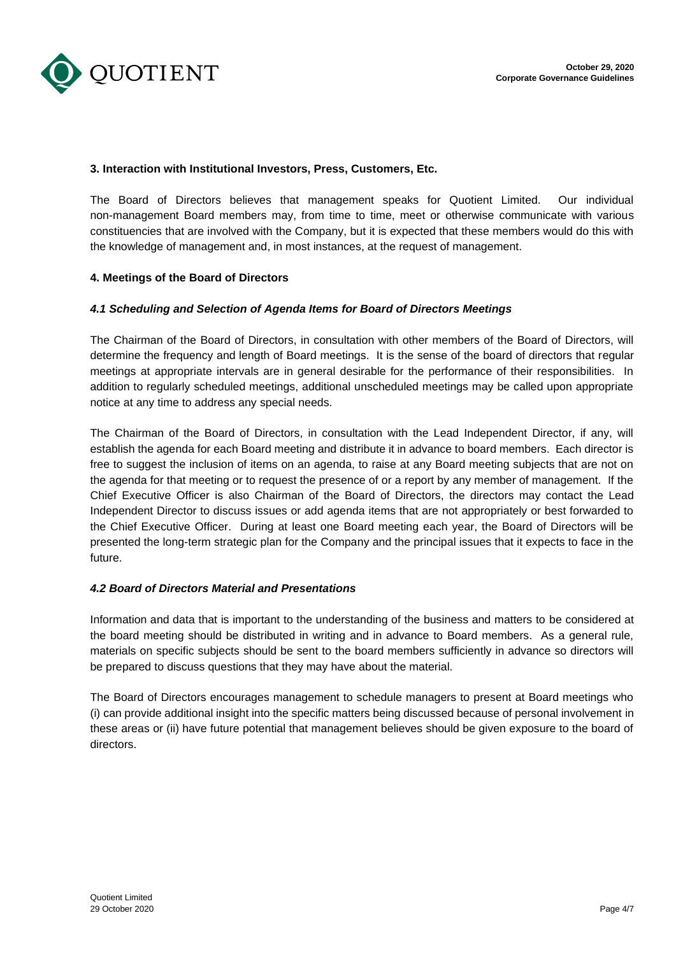

# **3. Interaction with Institutional Investors, Press, Customers, Etc.**

The Board of Directors believes that management speaks for Quotient Limited. Our individual non-management Board members may, from time to time, meet or otherwise communicate with various constituencies that are involved with the Company, but it is expected that these members would do this with the knowledge of management and, in most instances, at the request of management.

# **4. Meetings of the Board of Directors**

# *4.1 Scheduling and Selection of Agenda Items for Board of Directors Meetings*

The Chairman of the Board of Directors, in consultation with other members of the Board of Directors, will determine the frequency and length of Board meetings. It is the sense of the board of directors that regular meetings at appropriate intervals are in general desirable for the performance of their responsibilities. In addition to regularly scheduled meetings, additional unscheduled meetings may be called upon appropriate notice at any time to address any special needs.

The Chairman of the Board of Directors, in consultation with the Lead Independent Director, if any, will establish the agenda for each Board meeting and distribute it in advance to board members. Each director is free to suggest the inclusion of items on an agenda, to raise at any Board meeting subjects that are not on the agenda for that meeting or to request the presence of or a report by any member of management. If the Chief Executive Officer is also Chairman of the Board of Directors, the directors may contact the Lead Independent Director to discuss issues or add agenda items that are not appropriately or best forwarded to the Chief Executive Officer. During at least one Board meeting each year, the Board of Directors will be presented the long-term strategic plan for the Company and the principal issues that it expects to face in the future.

# *4.2 Board of Directors Material and Presentations*

Information and data that is important to the understanding of the business and matters to be considered at the board meeting should be distributed in writing and in advance to Board members. As a general rule, materials on specific subjects should be sent to the board members sufficiently in advance so directors will be prepared to discuss questions that they may have about the material.

The Board of Directors encourages management to schedule managers to present at Board meetings who (i) can provide additional insight into the specific matters being discussed because of personal involvement in these areas or (ii) have future potential that management believes should be given exposure to the board of directors.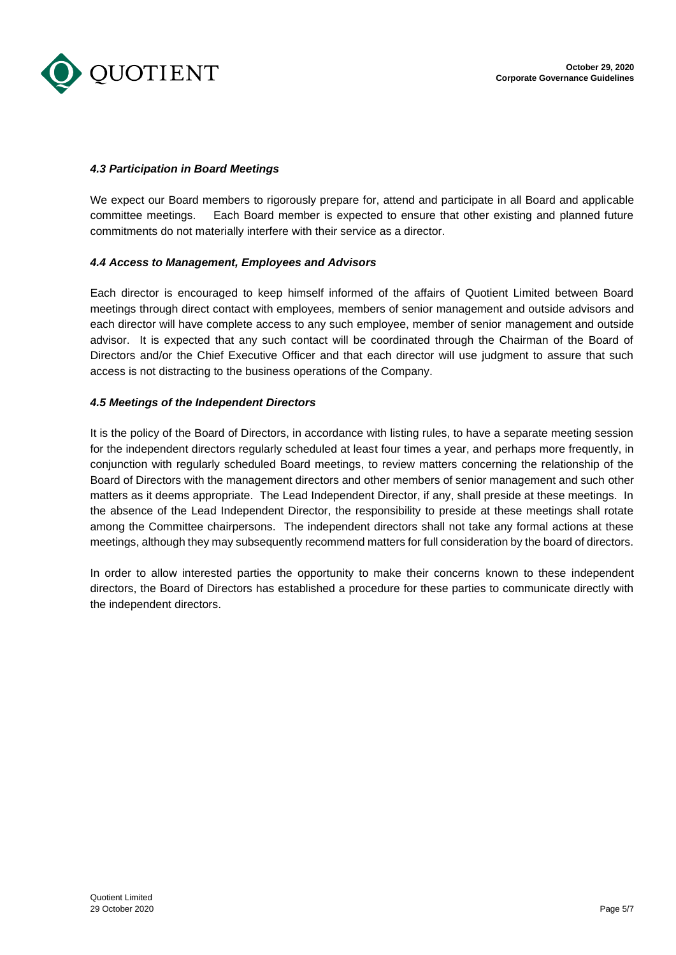

# *4.3 Participation in Board Meetings*

We expect our Board members to rigorously prepare for, attend and participate in all Board and applicable committee meetings. Each Board member is expected to ensure that other existing and planned future commitments do not materially interfere with their service as a director.

#### *4.4 Access to Management, Employees and Advisors*

Each director is encouraged to keep himself informed of the affairs of Quotient Limited between Board meetings through direct contact with employees, members of senior management and outside advisors and each director will have complete access to any such employee, member of senior management and outside advisor. It is expected that any such contact will be coordinated through the Chairman of the Board of Directors and/or the Chief Executive Officer and that each director will use judgment to assure that such access is not distracting to the business operations of the Company.

#### *4.5 Meetings of the Independent Directors*

It is the policy of the Board of Directors, in accordance with listing rules, to have a separate meeting session for the independent directors regularly scheduled at least four times a year, and perhaps more frequently, in conjunction with regularly scheduled Board meetings, to review matters concerning the relationship of the Board of Directors with the management directors and other members of senior management and such other matters as it deems appropriate. The Lead Independent Director, if any, shall preside at these meetings. In the absence of the Lead Independent Director, the responsibility to preside at these meetings shall rotate among the Committee chairpersons. The independent directors shall not take any formal actions at these meetings, although they may subsequently recommend matters for full consideration by the board of directors.

In order to allow interested parties the opportunity to make their concerns known to these independent directors, the Board of Directors has established a procedure for these parties to communicate directly with the independent directors.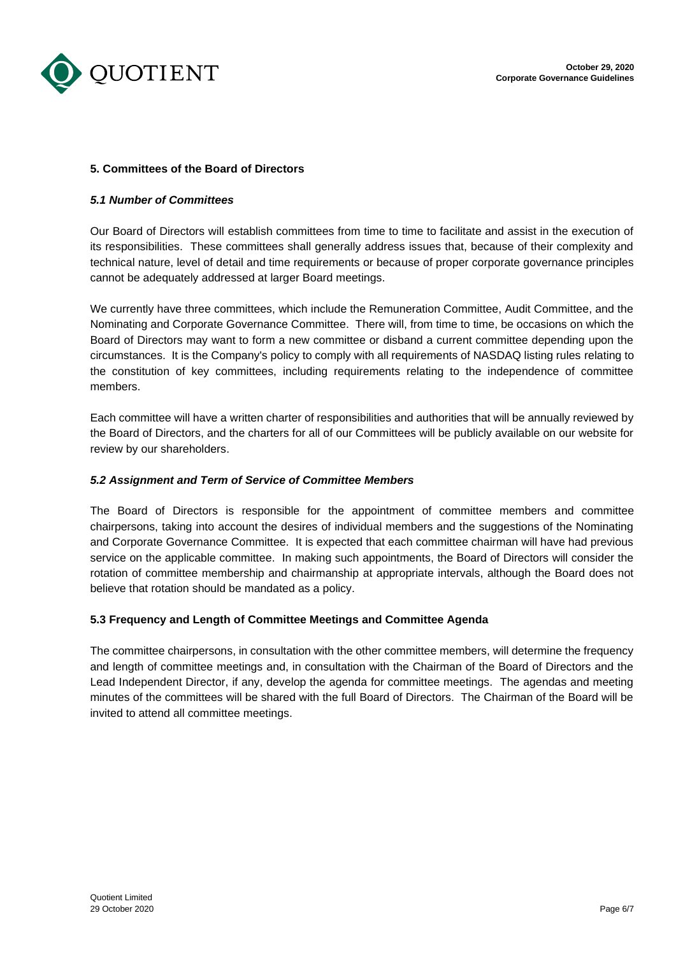

# **5. Committees of the Board of Directors**

#### *5.1 Number of Committees*

Our Board of Directors will establish committees from time to time to facilitate and assist in the execution of its responsibilities. These committees shall generally address issues that, because of their complexity and technical nature, level of detail and time requirements or because of proper corporate governance principles cannot be adequately addressed at larger Board meetings.

We currently have three committees, which include the Remuneration Committee, Audit Committee, and the Nominating and Corporate Governance Committee. There will, from time to time, be occasions on which the Board of Directors may want to form a new committee or disband a current committee depending upon the circumstances. It is the Company's policy to comply with all requirements of NASDAQ listing rules relating to the constitution of key committees, including requirements relating to the independence of committee members.

Each committee will have a written charter of responsibilities and authorities that will be annually reviewed by the Board of Directors, and the charters for all of our Committees will be publicly available on our website for review by our shareholders.

#### *5.2 Assignment and Term of Service of Committee Members*

The Board of Directors is responsible for the appointment of committee members and committee chairpersons, taking into account the desires of individual members and the suggestions of the Nominating and Corporate Governance Committee. It is expected that each committee chairman will have had previous service on the applicable committee. In making such appointments, the Board of Directors will consider the rotation of committee membership and chairmanship at appropriate intervals, although the Board does not believe that rotation should be mandated as a policy.

# **5.3 Frequency and Length of Committee Meetings and Committee Agenda**

The committee chairpersons, in consultation with the other committee members, will determine the frequency and length of committee meetings and, in consultation with the Chairman of the Board of Directors and the Lead Independent Director, if any, develop the agenda for committee meetings. The agendas and meeting minutes of the committees will be shared with the full Board of Directors. The Chairman of the Board will be invited to attend all committee meetings.